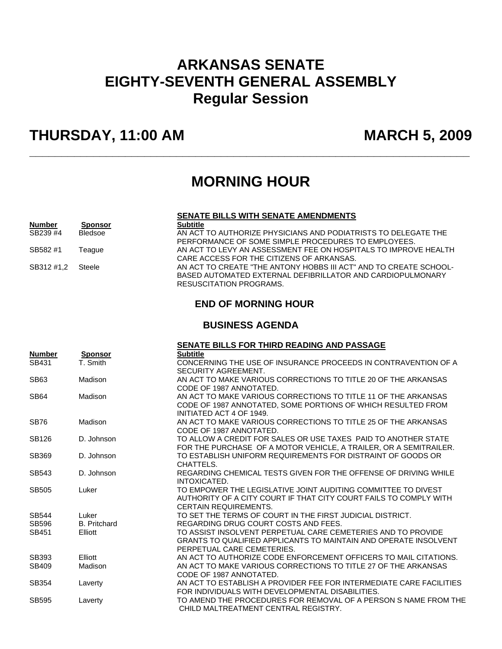# **ARKANSAS SENATE EIGHTY-SEVENTH GENERAL ASSEMBLY Regular Session**

# **THURSDAY, 11:00 AM MARCH 5, 2009**

## **MORNING HOUR**

**\_\_\_\_\_\_\_\_\_\_\_\_\_\_\_\_\_\_\_\_\_\_\_\_\_\_\_\_\_\_\_\_\_\_\_\_\_\_\_\_\_\_\_\_\_\_\_\_\_\_\_\_\_\_\_\_\_\_\_\_\_\_\_\_\_\_\_\_\_** 

### **SENATE BILLS WITH SENATE AMENDMENTS**

| <b>Number</b> | <b>Sponsor</b> | <b>Subtitle</b>                                                   |
|---------------|----------------|-------------------------------------------------------------------|
| SB239 #4      | <b>Bledsoe</b> | AN ACT TO AUTHORIZE PHYSICIANS AND PODIATRISTS TO DELEGATE THE    |
|               |                | PERFORMANCE OF SOME SIMPLE PROCEDURES TO EMPLOYEES.               |
| SB582#1       | Teaque         | AN ACT TO LEVY AN ASSESSMENT FEE ON HOSPITALS TO IMPROVE HEALTH   |
|               |                | CARE ACCESS FOR THE CITIZENS OF ARKANSAS.                         |
| SB312 #1.2    | <b>Steele</b>  | AN ACT TO CREATE "THE ANTONY HOBBS III ACT" AND TO CREATE SCHOOL- |
|               |                | BASED AUTOMATED EXTERNAL DEFIBRILLATOR AND CARDIOPULMONARY        |
|               |                | RESUSCITATION PROGRAMS.                                           |

## **END OF MORNING HOUR**

## **BUSINESS AGENDA**

|               |                     | <b>SENATE BILLS FOR THIRD READING AND PASSAGE</b>                                                                                                                  |
|---------------|---------------------|--------------------------------------------------------------------------------------------------------------------------------------------------------------------|
| <b>Number</b> | <b>Sponsor</b>      | <b>Subtitle</b>                                                                                                                                                    |
| SB431         | T. Smith            | CONCERNING THE USE OF INSURANCE PROCEEDS IN CONTRAVENTION OF A<br>SECURITY AGREEMENT.                                                                              |
| SB63          | Madison             | AN ACT TO MAKE VARIOUS CORRECTIONS TO TITLE 20 OF THE ARKANSAS<br>CODE OF 1987 ANNOTATED.                                                                          |
| <b>SB64</b>   | Madison             | AN ACT TO MAKE VARIOUS CORRECTIONS TO TITLE 11 OF THE ARKANSAS<br>CODE OF 1987 ANNOTATED. SOME PORTIONS OF WHICH RESULTED FROM<br>INITIATED ACT 4 OF 1949.         |
| <b>SB76</b>   | Madison             | AN ACT TO MAKE VARIOUS CORRECTIONS TO TITLE 25 OF THE ARKANSAS<br>CODE OF 1987 ANNOTATED.                                                                          |
| SB126         | D. Johnson          | TO ALLOW A CREDIT FOR SALES OR USE TAXES PAID TO ANOTHER STATE<br>FOR THE PURCHASE OF A MOTOR VEHICLE, A TRAILER, OR A SEMITRAILER.                                |
| SB369         | D. Johnson          | TO ESTABLISH UNIFORM REQUIREMENTS FOR DISTRAINT OF GOODS OR<br>CHATTELS.                                                                                           |
| SB543         | D. Johnson          | REGARDING CHEMICAL TESTS GIVEN FOR THE OFFENSE OF DRIVING WHILE<br>INTOXICATED.                                                                                    |
| <b>SB505</b>  | Luker               | TO EMPOWER THE LEGISLATIVE JOINT AUDITING COMMITTEE TO DIVEST<br>AUTHORITY OF A CITY COURT IF THAT CITY COURT FAILS TO COMPLY WITH<br><b>CERTAIN REQUIREMENTS.</b> |
| <b>SB544</b>  | Luker               | TO SET THE TERMS OF COURT IN THE FIRST JUDICIAL DISTRICT.                                                                                                          |
| SB596         | <b>B.</b> Pritchard | REGARDING DRUG COURT COSTS AND FEES.                                                                                                                               |
| SB451         | Elliott             | TO ASSIST INSOLVENT PERPETUAL CARE CEMETERIES AND TO PROVIDE<br>GRANTS TO QUALIFIED APPLICANTS TO MAINTAIN AND OPERATE INSOLVENT<br>PERPETUAL CARE CEMETERIES.     |
| SB393         | Elliott             | AN ACT TO AUTHORIZE CODE ENFORCEMENT OFFICERS TO MAIL CITATIONS.                                                                                                   |
| SB409         | Madison             | AN ACT TO MAKE VARIOUS CORRECTIONS TO TITLE 27 OF THE ARKANSAS<br>CODE OF 1987 ANNOTATED.                                                                          |
| SB354         | Laverty             | AN ACT TO ESTABLISH A PROVIDER FEE FOR INTERMEDIATE CARE FACILITIES<br>FOR INDIVIDUALS WITH DEVELOPMENTAL DISABILITIES.                                            |
| <b>SB595</b>  | Laverty             | TO AMEND THE PROCEDURES FOR REMOVAL OF A PERSON S NAME FROM THE<br>CHILD MALTREATMENT CENTRAL REGISTRY.                                                            |